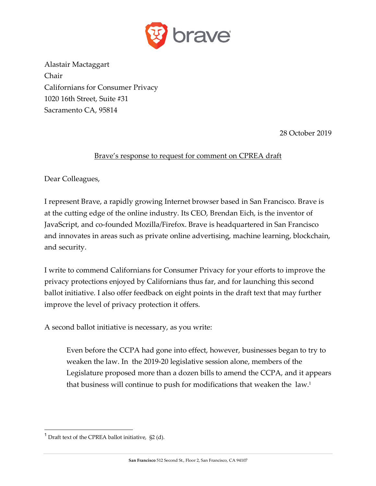

Alastair Mactaggart Chair Californians for Consumer Privacy 1020 16th Street, Suite #31 Sacramento CA, 95814

28 October 2019

## Brave's response to request for comment on CPREA draft

Dear Colleagues,

I represent Brave, a rapidly growing Internet browser based in San Francisco. Brave is at the cutting edge of the online industry. Its CEO, Brendan Eich, is the inventor of JavaScript, and co-founded Mozilla/Firefox. Brave is headquartered in San Francisco and innovates in areas such as private online advertising, machine learning, blockchain, and security.

I write to commend Californians for Consumer Privacy for your efforts to improve the privacy protections enjoyed by Californians thus far, and for launching this second ballot initiative. I also offer feedback on eight points in the draft text that may further improve the level of privacy protection it offers.

A second ballot initiative is necessary, as you write:

Even before the CCPA had gone into effect, however, businesses began to try to weaken the law. In the 2019-20 legislative session alone, members of the Legislature proposed more than a dozen bills to amend the CCPA, and it appears that business will continue to push for modifications that weaken the law.1

 $1$  Draft text of the CPREA ballot initiative, §2 (d).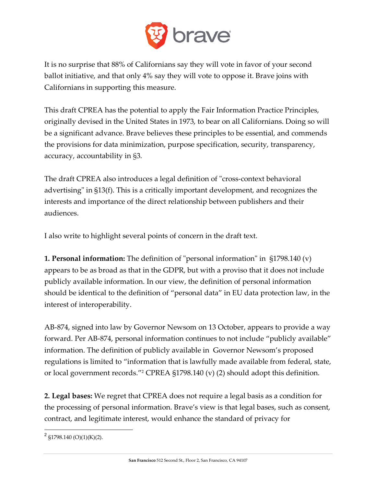

It is no surprise that 88% of Californians say they will vote in favor of your second ballot initiative, and that only 4% say they will vote to oppose it. Brave joins with Californians in supporting this measure.

This draft CPREA has the potential to apply the Fair Information Practice Principles, originally devised in the United States in 1973, to bear on all Californians. Doing so will be a significant advance. Brave believes these principles to be essential, and commends the provisions for data minimization, purpose specification, security, transparency, accuracy, accountability in §3.

The draft CPREA also introduces a legal definition of "cross-context behavioral advertising" in §13(f). This is a critically important development, and recognizes the interests and importance of the direct relationship between publishers and their audiences.

I also write to highlight several points of concern in the draft text.

**1. Personal information:** The definition of "personal information" in §1798.140 (v) appears to be as broad as that in the GDPR, but with a proviso that it does not include publicly available information. In our view, the definition of personal information should be identical to the definition of "personal data" in EU data protection law, in the interest of interoperability.

AB-874, signed into law by Governor Newsom on 13 October, appears to provide a way forward. Per AB-874, personal information continues to not include "publicly available" information. The definition of publicly available in Governor Newsom's proposed regulations is limited to "information that is lawfully made available from federal, state, or local government records."2 CPREA §1798.140 (v) (2) should adopt this definition.

**2. Legal bases:** We regret that CPREA does not require a legal basis as a condition for the processing of personal information. Brave's view is that legal bases, such as consent, contract, and legitimate interest, would enhance the standard of privacy for

 $2$  §1798.140 (O)(1)(K)(2).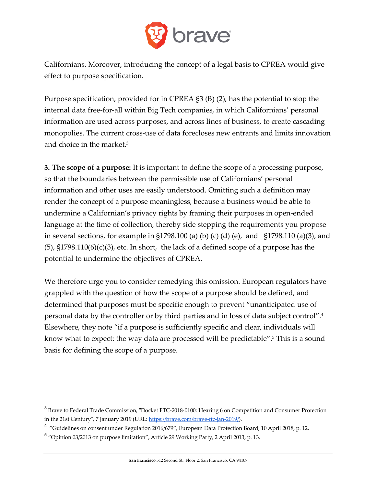

Californians. Moreover, introducing the concept of a legal basis to CPREA would give effect to purpose specification.

Purpose specification, provided for in CPREA §3 (B) (2), has the potential to stop the internal data free-for-all within Big Tech companies, in which Californians' personal information are used across purposes, and across lines of business, to create cascading monopolies. The current cross-use of data forecloses new entrants and limits innovation and choice in the market.3

**3. The scope of a purpose:** It is important to define the scope of a processing purpose, so that the boundaries between the permissible use of Californians' personal information and other uses are easily understood. Omitting such a definition may render the concept of a purpose meaningless, because a business would be able to undermine a Californian's privacy rights by framing their purposes in open-ended language at the time of collection, thereby side stepping the requirements you propose in several sections, for example in  $\S1798.100$  (a) (b) (c) (d) (e), and  $\S1798.110$  (a)(3), and  $(5)$ ,  $\S1798.110(6)(c)(3)$ , etc. In short, the lack of a defined scope of a purpose has the potential to undermine the objectives of CPREA.

We therefore urge you to consider remedying this omission. European regulators have grappled with the question of how the scope of a purpose should be defined, and determined that purposes must be specific enough to prevent "unanticipated use of personal data by the controller or by third parties and in loss of data subject control".4 Elsewhere, they note "if a purpose is sufficiently specific and clear, individuals will know what to expect: the way data are processed will be predictable".5 This is a sound basis for defining the scope of a purpose.

 <sup>3</sup> Brave to Federal Trade Commission, "Docket FTC-2018-0100: Hearing 6 on Competition and Consumer Protection in the 21st Century", 7 January 2019 (URL: https://brave.com/brave-ftc-jan-2019/).

<sup>&</sup>lt;sup>4</sup> "Guidelines on consent under Regulation 2016/679", European Data Protection Board, 10 April 2018, p. 12.

<sup>5</sup> "Opinion 03/2013 on purpose limitation", Article 29 Working Party, 2 April 2013, p. 13.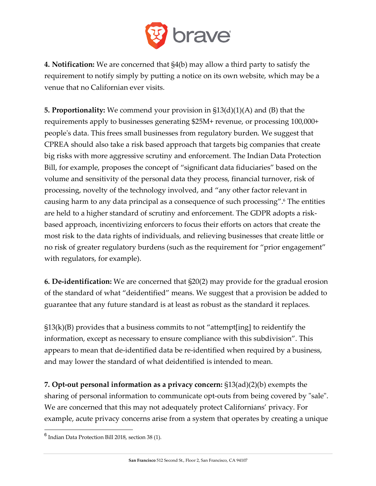

**4. Notification:** We are concerned that §4(b) may allow a third party to satisfy the requirement to notify simply by putting a notice on its own website, which may be a venue that no Californian ever visits.

**5. Proportionality:** We commend your provision in §13(d)(1)(A) and (B) that the requirements apply to businesses generating \$25M+ revenue, or processing 100,000+ people's data. This frees small businesses from regulatory burden. We suggest that CPREA should also take a risk based approach that targets big companies that create big risks with more aggressive scrutiny and enforcement. The Indian Data Protection Bill, for example, proposes the concept of "significant data fiduciaries" based on the volume and sensitivity of the personal data they process, financial turnover, risk of processing, novelty of the technology involved, and "any other factor relevant in causing harm to any data principal as a consequence of such processing".6 The entities are held to a higher standard of scrutiny and enforcement. The GDPR adopts a riskbased approach, incentivizing enforcers to focus their efforts on actors that create the most risk to the data rights of individuals, and relieving businesses that create little or no risk of greater regulatory burdens (such as the requirement for "prior engagement" with regulators, for example).

**6. De-identification:** We are concerned that §20(2) may provide for the gradual erosion of the standard of what "deidentified" means. We suggest that a provision be added to guarantee that any future standard is at least as robust as the standard it replaces.

 $\S13(k)(B)$  provides that a business commits to not "attempt[ing] to reidentify the information, except as necessary to ensure compliance with this subdivision". This appears to mean that de-identified data be re-identified when required by a business, and may lower the standard of what deidentified is intended to mean.

**7. Opt-out personal information as a privacy concern:** §13(ad)(2)(b) exempts the sharing of personal information to communicate opt-outs from being covered by "sale". We are concerned that this may not adequately protect Californians' privacy. For example, acute privacy concerns arise from a system that operates by creating a unique

 $6$  Indian Data Protection Bill 2018, section 38 (1).